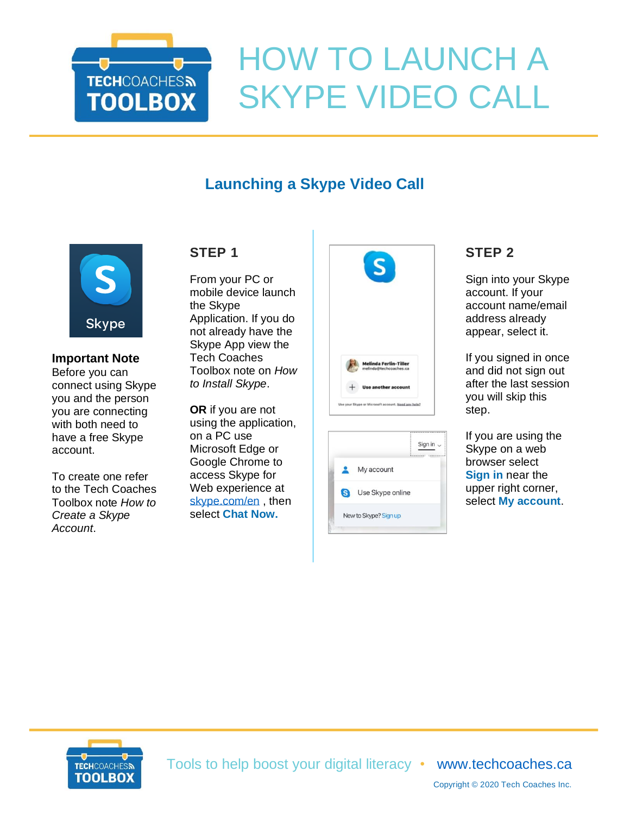

# HOW TO LAUNCH A SKYPE VIDEO CALL

# **Launching a Skype Video Call**



#### **Important Note** Before you can connect using Skype you and the person you are connecting with both need to have a free Skype account.

To create one refer to the Tech Coaches Toolbox note *How to Create a Skype Account*.

## **STEP 1**

From your PC or mobile device launch the Skype Application. If you do not already have the Skype App view the Tech Coaches Toolbox note on *How to Install Skype*.

**OR** if you are not using the application, on a PC use Microsoft Edge or Google Chrome to access Skype for Web experience at [skype.com/en](https://www.skype.com/en/) , then select **Chat Now.**



|   | Sign in               |
|---|-----------------------|
|   | My account            |
| G | Use Skype online      |
|   | New to Skype? Sign up |

## **STEP 2**

Sign into your Skype account. If your account name/email address already appear, select it.

If you signed in once and did not sign out after the last session you will skip this step.

If you are using the Skype on a web browser select **Sign in** near the upper right corner, select **My account**.



Tools to help boost your digital literacy • [www.techcoaches.ca](http://www.techcoaches.ca/)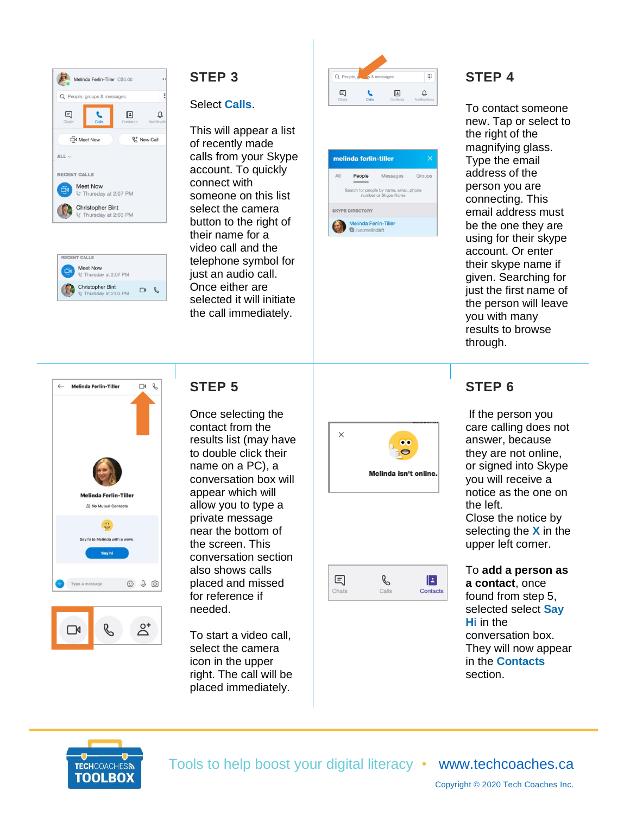

| <b>RECENT CALLS</b> |                                                  |  |  |  |
|---------------------|--------------------------------------------------|--|--|--|
|                     | Meet Now<br>९ Thursday at 2:07 PM                |  |  |  |
|                     | <b>Christopher Bint</b><br>ং Thursday at 2:03 PM |  |  |  |

#### **STEP 3**

#### Select **Calls**.

This will appear a list of recently made calls from your Skype account. To quickly connect with someone on this list select the camera button to the right of their name for a video call and the telephone symbol for just an audio call. Once either are selected it will initiate the call immediately.





## **STEP 4**

To contact someone new. Tap or select to the right of the magnifying glass. Type the email address of the person you are connecting. This email address must be the one they are using for their skype account. Or enter their skype name if given. Searching for just the first name of the person will leave you with many results to browse through.



## **STEP 5**

Once selecting the contact from the results list (may have to double click their name on a PC), a conversation box will appear which will allow you to type a private message near the bottom of the screen. This conversation section also shows calls placed and missed for reference if needed.

To start a video call, select the camera icon in the upper right. The call will be placed immediately.



|  | Contacts |
|--|----------|
|  |          |

# **STEP 6**

If the person you care calling does not answer, because they are not online, or signed into Skype you will receive a notice as the one on the left. Close the notice by selecting the **X** in the upper left corner.

To **add a person as a contact**, once found from step 5, selected select **Say Hi** in the conversation box. They will now appear in the **Contacts** section.



Tools to help boost your digital literacy • [www.techcoaches.ca](http://www.techcoaches.ca/)

Copyright © 2020 Tech Coaches Inc.